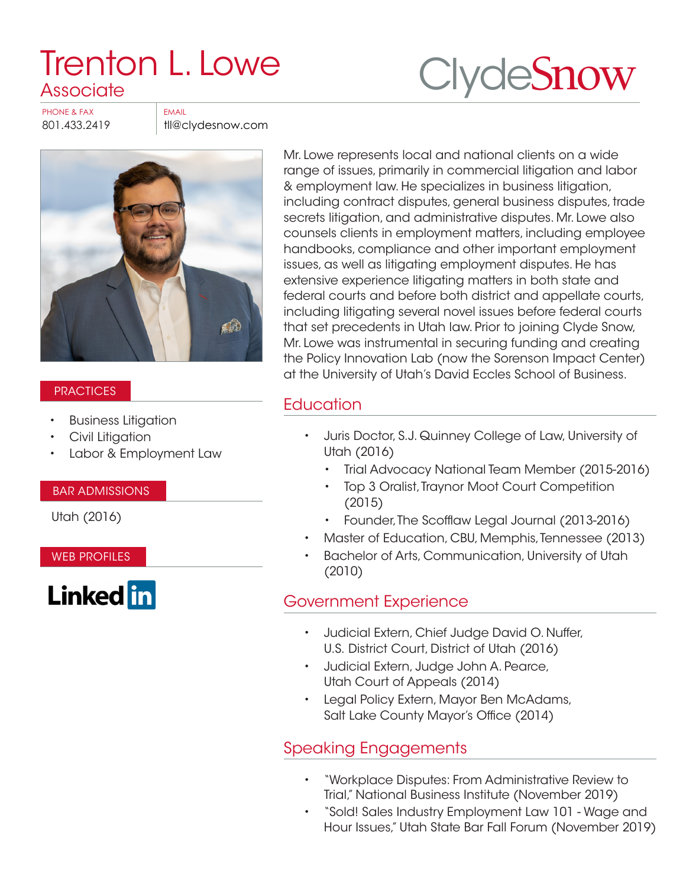# [Trenton L. Lowe](https://www.clydesnow.com/attorneys/48-Trenton-L-Lowe)  **Associate**



PHONE & FAX FAX

801.433.2419 | tll@clydesnow.com



#### **PRACTICES**

- Business Litigation
- Civil Litigation
- Labor & Employment Law

#### BAR ADMISSIONS

Utah (2016)

WEB PROFILES



Mr. Lowe represents local and national clients on a wide range of issues, primarily in commercial litigation and labor & employment law. He specializes in business litigation, including contract disputes, general business disputes, trade secrets litigation, and administrative disputes. Mr. Lowe also counsels clients in employment matters, including employee handbooks, compliance and other important employment issues, as well as litigating employment disputes. He has extensive experience litigating matters in both state and federal courts and before both district and appellate courts, including litigating several novel issues before federal courts that set precedents in Utah law. Prior to joining Clyde Snow, Mr. Lowe was instrumental in securing funding and creating the Policy Innovation Lab (now the Sorenson Impact Center) at the University of Utah's David Eccles School of Business.

# **Education**

- Juris Doctor, S.J. Quinney College of Law, University of Utah (2016)
	- Trial Advocacy National Team Member (2015‑2016)
	- Top 3 Oralist, Traynor Moot Court Competition (2015)
- Founder, The Scofflaw Legal Journal (2013-2016)
- Master of Education, CBU, Memphis, Tennessee (2013)
- Bachelor of Arts, Communication, University of Utah (2010)

## Government Experience

- Judicial Extern, Chief Judge David O. Nuffer, U.S. District Court, District of Utah (2016)
- Judicial Extern, Judge John A. Pearce, Utah Court of Appeals (2014)
- Legal Policy Extern, Mayor Ben McAdams, Salt Lake County Mayor's Office (2014)

## Speaking Engagements

- "Workplace Disputes: From Administrative Review to Trial," National Business Institute (November 2019)
- "Sold! Sales Industry Employment Law 101 Wage and Hour Issues," Utah State Bar Fall Forum (November 2019)